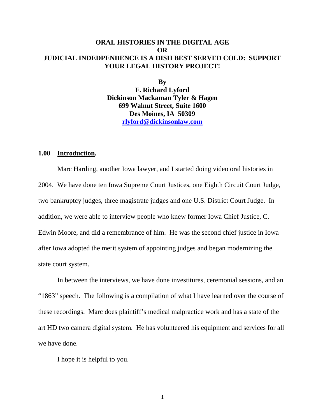# **ORAL HISTORIES IN THE DIGITAL AGE OR JUDICIAL INDEDPENDENCE IS A DISH BEST SERVED COLD: SUPPORT YOUR LEGAL HISTORY PROJECT!**

**By**

**F. Richard Lyford Dickinson Mackaman Tyler & Hagen 699 Walnut Street, Suite 1600 Des Moines, IA 50309 [rlyford@dickinsonlaw.com](mailto:rlyford@dickinsonlaw.com)**

#### **1.00 Introduction.**

Marc Harding, another Iowa lawyer, and I started doing video oral histories in 2004. We have done ten Iowa Supreme Court Justices, one Eighth Circuit Court Judge, two bankruptcy judges, three magistrate judges and one U.S. District Court Judge. In addition, we were able to interview people who knew former Iowa Chief Justice, C. Edwin Moore, and did a remembrance of him. He was the second chief justice in Iowa after Iowa adopted the merit system of appointing judges and began modernizing the state court system.

In between the interviews, we have done investitures, ceremonial sessions, and an "1863" speech. The following is a compilation of what I have learned over the course of these recordings. Marc does plaintiff's medical malpractice work and has a state of the art HD two camera digital system. He has volunteered his equipment and services for all we have done.

I hope it is helpful to you.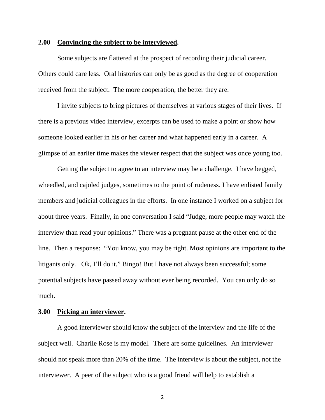#### **2.00 Convincing the subject to be interviewed.**

Some subjects are flattered at the prospect of recording their judicial career. Others could care less. Oral histories can only be as good as the degree of cooperation received from the subject. The more cooperation, the better they are.

I invite subjects to bring pictures of themselves at various stages of their lives. If there is a previous video interview, excerpts can be used to make a point or show how someone looked earlier in his or her career and what happened early in a career. A glimpse of an earlier time makes the viewer respect that the subject was once young too.

Getting the subject to agree to an interview may be a challenge. I have begged, wheedled, and cajoled judges, sometimes to the point of rudeness. I have enlisted family members and judicial colleagues in the efforts. In one instance I worked on a subject for about three years. Finally, in one conversation I said "Judge, more people may watch the interview than read your opinions." There was a pregnant pause at the other end of the line. Then a response: "You know, you may be right. Most opinions are important to the litigants only. Ok, I'll do it." Bingo! But I have not always been successful; some potential subjects have passed away without ever being recorded. You can only do so much.

## **3.00 Picking an interviewer.**

A good interviewer should know the subject of the interview and the life of the subject well. Charlie Rose is my model. There are some guidelines. An interviewer should not speak more than 20% of the time. The interview is about the subject, not the interviewer. A peer of the subject who is a good friend will help to establish a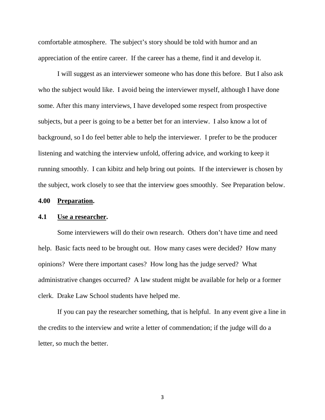comfortable atmosphere. The subject's story should be told with humor and an appreciation of the entire career. If the career has a theme, find it and develop it.

I will suggest as an interviewer someone who has done this before. But I also ask who the subject would like. I avoid being the interviewer myself, although I have done some. After this many interviews, I have developed some respect from prospective subjects, but a peer is going to be a better bet for an interview. I also know a lot of background, so I do feel better able to help the interviewer. I prefer to be the producer listening and watching the interview unfold, offering advice, and working to keep it running smoothly. I can kibitz and help bring out points. If the interviewer is chosen by the subject, work closely to see that the interview goes smoothly. See Preparation below.

#### **4.00 Preparation.**

## **4.1 Use a researcher.**

Some interviewers will do their own research. Others don't have time and need help. Basic facts need to be brought out. How many cases were decided? How many opinions? Were there important cases? How long has the judge served? What administrative changes occurred? A law student might be available for help or a former clerk. Drake Law School students have helped me.

If you can pay the researcher something, that is helpful. In any event give a line in the credits to the interview and write a letter of commendation; if the judge will do a letter, so much the better.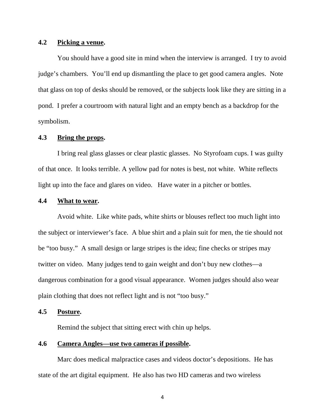## **4.2 Picking a venue.**

You should have a good site in mind when the interview is arranged. I try to avoid judge's chambers. You'll end up dismantling the place to get good camera angles. Note that glass on top of desks should be removed, or the subjects look like they are sitting in a pond. I prefer a courtroom with natural light and an empty bench as a backdrop for the symbolism.

## **4.3 Bring the props.**

I bring real glass glasses or clear plastic glasses. No Styrofoam cups. I was guilty of that once. It looks terrible. A yellow pad for notes is best, not white. White reflects light up into the face and glares on video. Have water in a pitcher or bottles.

#### **4.4 What to wear.**

Avoid white. Like white pads, white shirts or blouses reflect too much light into the subject or interviewer's face. A blue shirt and a plain suit for men, the tie should not be "too busy." A small design or large stripes is the idea; fine checks or stripes may twitter on video. Many judges tend to gain weight and don't buy new clothes—a dangerous combination for a good visual appearance. Women judges should also wear plain clothing that does not reflect light and is not "too busy."

### **4.5 Posture.**

Remind the subject that sitting erect with chin up helps.

# **4.6 Camera Angles—use two cameras if possible.**

Marc does medical malpractice cases and videos doctor's depositions. He has state of the art digital equipment. He also has two HD cameras and two wireless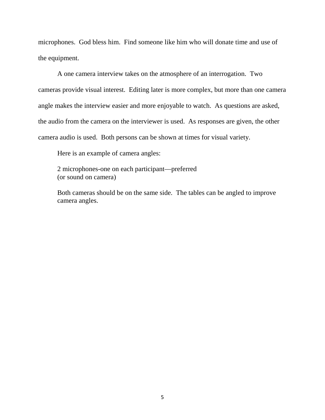microphones. God bless him. Find someone like him who will donate time and use of the equipment.

A one camera interview takes on the atmosphere of an interrogation. Two cameras provide visual interest. Editing later is more complex, but more than one camera angle makes the interview easier and more enjoyable to watch. As questions are asked, the audio from the camera on the interviewer is used. As responses are given, the other camera audio is used. Both persons can be shown at times for visual variety.

Here is an example of camera angles:

2 microphones-one on each participant—preferred (or sound on camera)

Both cameras should be on the same side. The tables can be angled to improve camera angles.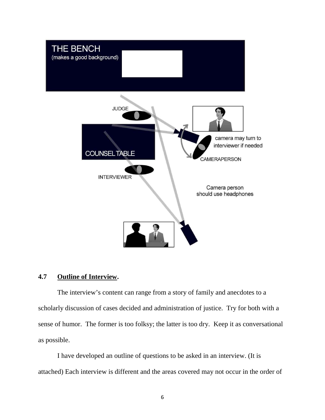

## **4.7 Outline of Interview.**

The interview's content can range from a story of family and anecdotes to a scholarly discussion of cases decided and administration of justice. Try for both with a sense of humor. The former is too folksy; the latter is too dry. Keep it as conversational as possible.

I have developed an outline of questions to be asked in an interview. (It is attached) Each interview is different and the areas covered may not occur in the order of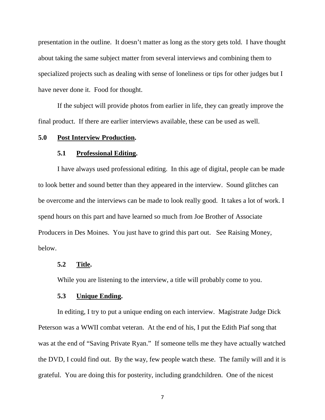presentation in the outline. It doesn't matter as long as the story gets told. I have thought about taking the same subject matter from several interviews and combining them to specialized projects such as dealing with sense of loneliness or tips for other judges but I have never done it. Food for thought.

If the subject will provide photos from earlier in life, they can greatly improve the final product. If there are earlier interviews available, these can be used as well.

# **5.0 Post Interview Production.**

#### **5.1 Professional Editing.**

I have always used professional editing. In this age of digital, people can be made to look better and sound better than they appeared in the interview. Sound glitches can be overcome and the interviews can be made to look really good. It takes a lot of work. I spend hours on this part and have learned so much from Joe Brother of Associate Producers in Des Moines. You just have to grind this part out. See Raising Money, below.

#### **5.2 Title.**

While you are listening to the interview, a title will probably come to you.

### **5.3 Unique Ending.**

In editing, I try to put a unique ending on each interview. Magistrate Judge Dick Peterson was a WWII combat veteran. At the end of his, I put the Edith Piaf song that was at the end of "Saving Private Ryan." If someone tells me they have actually watched the DVD, I could find out. By the way, few people watch these. The family will and it is grateful. You are doing this for posterity, including grandchildren. One of the nicest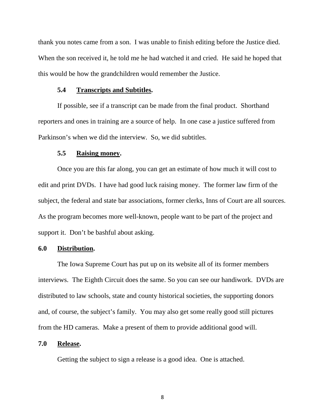thank you notes came from a son. I was unable to finish editing before the Justice died. When the son received it, he told me he had watched it and cried. He said he hoped that this would be how the grandchildren would remember the Justice.

#### **5.4 Transcripts and Subtitles.**

If possible, see if a transcript can be made from the final product. Shorthand reporters and ones in training are a source of help. In one case a justice suffered from Parkinson's when we did the interview. So, we did subtitles.

#### **5.5 Raising money.**

Once you are this far along, you can get an estimate of how much it will cost to edit and print DVDs. I have had good luck raising money. The former law firm of the subject, the federal and state bar associations, former clerks, Inns of Court are all sources. As the program becomes more well-known, people want to be part of the project and support it. Don't be bashful about asking.

### **6.0 Distribution.**

The Iowa Supreme Court has put up on its website all of its former members interviews. The Eighth Circuit does the same. So you can see our handiwork. DVDs are distributed to law schools, state and county historical societies, the supporting donors and, of course, the subject's family. You may also get some really good still pictures from the HD cameras. Make a present of them to provide additional good will.

#### **7.0 Release.**

Getting the subject to sign a release is a good idea. One is attached.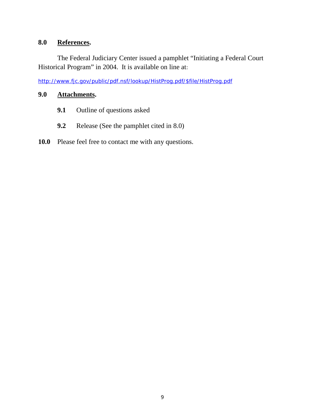# **8.0 References.**

The Federal Judiciary Center issued a pamphlet "Initiating a Federal Court Historical Program" in 2004. It is available on line at:

[http://www.fjc.gov/public/pdf.nsf/lookup/HistProg.pdf/\\$file/HistProg.pdf](https://protect-us.mimecast.com/s/Y1z6B4cgmaafO)

# **9.0 Attachments.**

- **9.1** Outline of questions asked
- **9.2** Release (See the pamphlet cited in 8.0)

# **10.0** Please feel free to contact me with any questions.